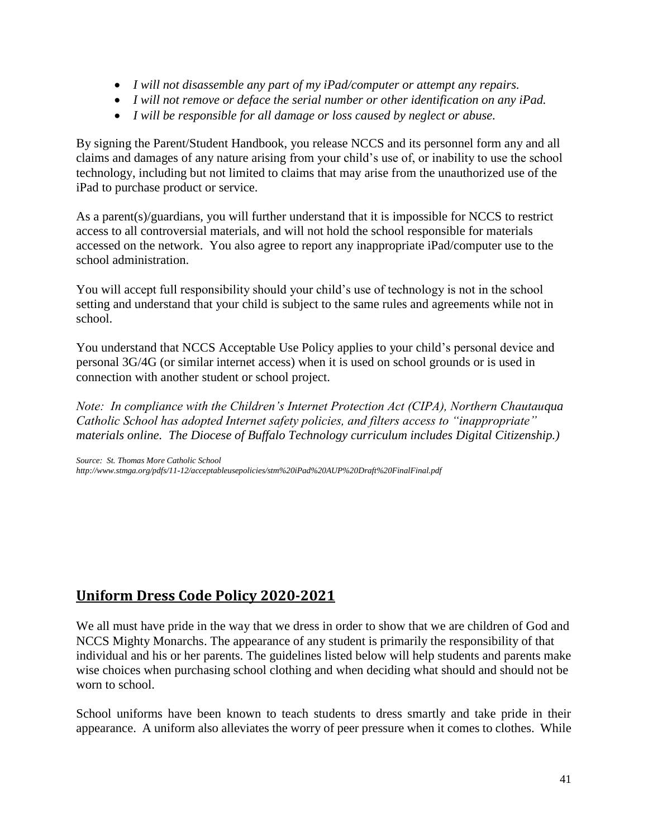- *I will not disassemble any part of my iPad/computer or attempt any repairs.*
- *I will not remove or deface the serial number or other identification on any iPad.*
- *I will be responsible for all damage or loss caused by neglect or abuse.*

By signing the Parent/Student Handbook, you release NCCS and its personnel form any and all claims and damages of any nature arising from your child's use of, or inability to use the school technology, including but not limited to claims that may arise from the unauthorized use of the iPad to purchase product or service.

As a parent(s)/guardians, you will further understand that it is impossible for NCCS to restrict access to all controversial materials, and will not hold the school responsible for materials accessed on the network. You also agree to report any inappropriate iPad/computer use to the school administration.

You will accept full responsibility should your child's use of technology is not in the school setting and understand that your child is subject to the same rules and agreements while not in school.

You understand that NCCS Acceptable Use Policy applies to your child's personal device and personal 3G/4G (or similar internet access) when it is used on school grounds or is used in connection with another student or school project.

*Note: In compliance with the Children's Internet Protection Act (CIPA), Northern Chautauqua Catholic School has adopted Internet safety policies, and filters access to "inappropriate" materials online. The Diocese of Buffalo Technology curriculum includes Digital Citizenship.)*

*Source: St. Thomas More Catholic School http://www.stmga.org/pdfs/11-12/acceptableusepolicies/stm%20iPad%20AUP%20Draft%20FinalFinal.pdf*

# **Uniform Dress Code Policy 2020-2021**

We all must have pride in the way that we dress in order to show that we are children of God and NCCS Mighty Monarchs. The appearance of any student is primarily the responsibility of that individual and his or her parents. The guidelines listed below will help students and parents make wise choices when purchasing school clothing and when deciding what should and should not be worn to school.

School uniforms have been known to teach students to dress smartly and take pride in their appearance. A uniform also alleviates the worry of peer pressure when it comes to clothes. While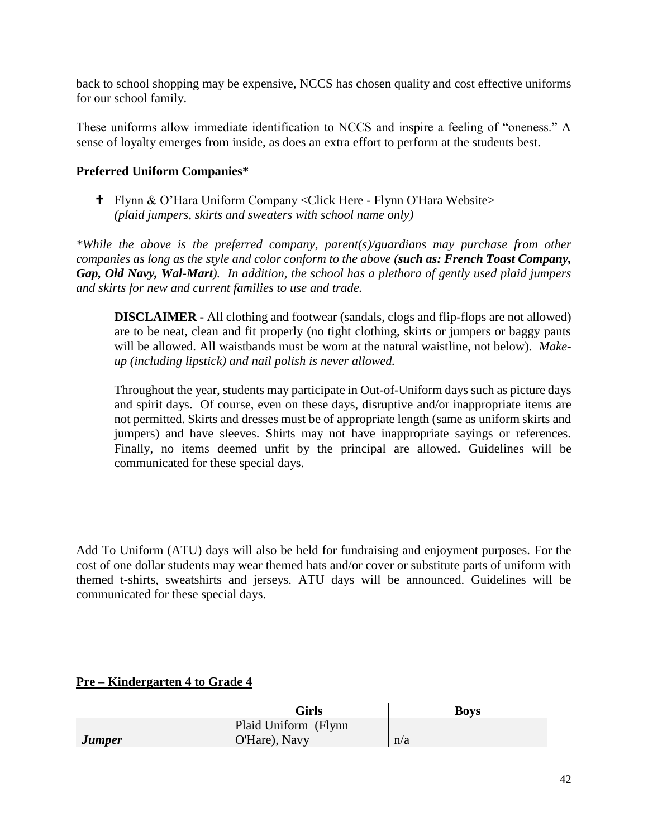back to school shopping may be expensive, NCCS has chosen quality and cost effective uniforms for our school family.

These uniforms allow immediate identification to NCCS and inspire a feeling of "oneness." A sense of loyalty emerges from inside, as does an extra effort to perform at the students best.

#### **Preferred Uniform Companies\***

 Flynn & O'Hara Uniform Company <Click Here - Flynn O'Hara Website> *(plaid jumpers, skirts and sweaters with school name only)*

*\*While the above is the preferred company, parent(s)/guardians may purchase from other companies as long as the style and color conform to the above (such as: French Toast Company, Gap, Old Navy, Wal-Mart). In addition, the school has a plethora of gently used plaid jumpers and skirts for new and current families to use and trade.*

**DISCLAIMER -** All clothing and footwear (sandals, clogs and flip-flops are not allowed) are to be neat, clean and fit properly (no tight clothing, skirts or jumpers or baggy pants will be allowed. All waistbands must be worn at the natural waistline, not below). *Makeup (including lipstick) and nail polish is never allowed.*

Throughout the year, students may participate in Out-of-Uniform days such as picture days and spirit days. Of course, even on these days, disruptive and/or inappropriate items are not permitted. Skirts and dresses must be of appropriate length (same as uniform skirts and jumpers) and have sleeves. Shirts may not have inappropriate sayings or references. Finally, no items deemed unfit by the principal are allowed. Guidelines will be communicated for these special days.

Add To Uniform (ATU) days will also be held for fundraising and enjoyment purposes. For the cost of one dollar students may wear themed hats and/or cover or substitute parts of uniform with themed t-shirts, sweatshirts and jerseys. ATU days will be announced. Guidelines will be communicated for these special days.

## **Pre – Kindergarten 4 to Grade 4**

|                      | Girls                | <b>Boys</b> |
|----------------------|----------------------|-------------|
|                      | Plaid Uniform (Flynn |             |
| <i><b>Jumper</b></i> | O'Hare), Navy        | n/a         |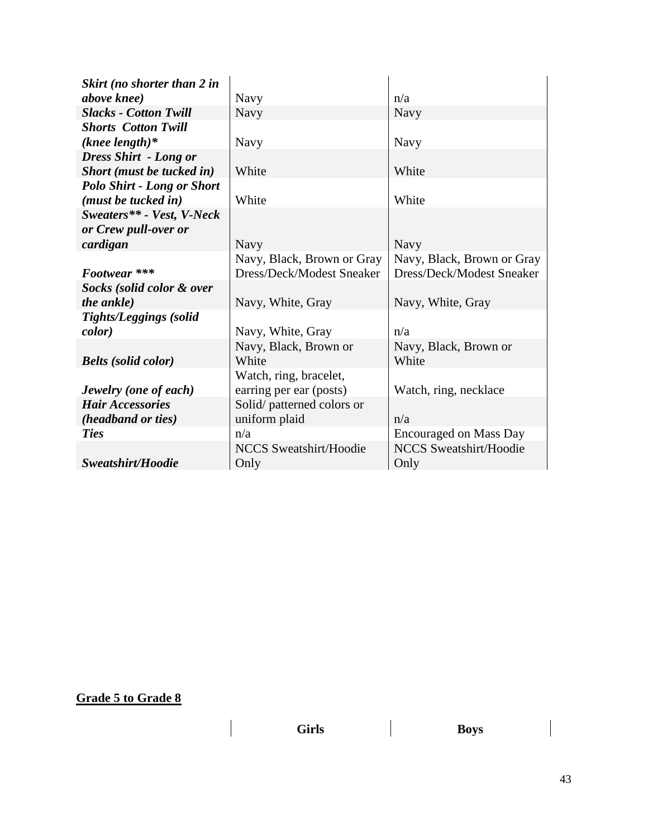| Skirt (no shorter than 2 in       |                               |                               |
|-----------------------------------|-------------------------------|-------------------------------|
| <i>above knee</i> )               | <b>Navy</b>                   | n/a                           |
| <b>Slacks - Cotton Twill</b>      | <b>Navy</b>                   | Navy                          |
| <b>Shorts Cotton Twill</b>        |                               |                               |
| $(knee length)*$                  | Navy                          | <b>Navy</b>                   |
| <b>Dress Shirt - Long or</b>      |                               |                               |
| Short (must be tucked in)         | White                         | White                         |
| <b>Polo Shirt - Long or Short</b> |                               |                               |
| ( <i>must be tucked in</i> )      | White                         | White                         |
| Sweaters** - Vest, V-Neck         |                               |                               |
| or Crew pull-over or              |                               |                               |
| cardigan                          | <b>Navy</b>                   | <b>Navy</b>                   |
|                                   | Navy, Black, Brown or Gray    | Navy, Black, Brown or Gray    |
| Footwear ***                      | Dress/Deck/Modest Sneaker     | Dress/Deck/Modest Sneaker     |
| Socks (solid color & over         |                               |                               |
| <i>the ankle)</i>                 | Navy, White, Gray             | Navy, White, Gray             |
| <b>Tights/Leggings (solid)</b>    |                               |                               |
| <i>color</i> )                    | Navy, White, Gray             | n/a                           |
|                                   | Navy, Black, Brown or         | Navy, Black, Brown or         |
| <b>Belts</b> (solid color)        | White                         | White                         |
|                                   | Watch, ring, bracelet,        |                               |
| Jewelry (one of each)             | earring per ear (posts)       | Watch, ring, necklace         |
| <b>Hair Accessories</b>           | Solid/patterned colors or     |                               |
| (headband or ties)                | uniform plaid                 | n/a                           |
| <b>Ties</b>                       | n/a                           | <b>Encouraged on Mass Day</b> |
|                                   | <b>NCCS Sweatshirt/Hoodie</b> | <b>NCCS Sweatshirt/Hoodie</b> |
| Sweatshirt/Hoodie                 | Only                          | Only                          |

# **Grade 5 to Grade 8**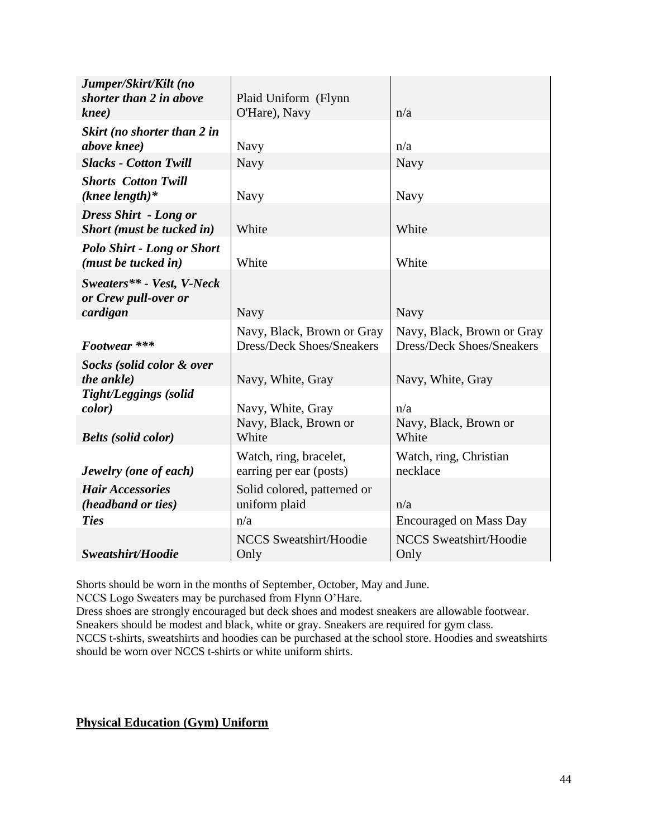| Jumper/Skirt/Kilt (no<br>shorter than 2 in above<br>knee)         | Plaid Uniform (Flynn<br>O'Hare), Navy                          | n/a                                                            |
|-------------------------------------------------------------------|----------------------------------------------------------------|----------------------------------------------------------------|
| Skirt (no shorter than 2 in<br>above knee)                        | Navy                                                           | n/a                                                            |
| <b>Slacks - Cotton Twill</b>                                      | Navy                                                           | Navy                                                           |
| <b>Shorts Cotton Twill</b><br>$(knee length)*$                    | Navy                                                           | Navy                                                           |
| <b>Dress Shirt - Long or</b><br>Short (must be tucked in)         | White                                                          | White                                                          |
| <b>Polo Shirt - Long or Short</b><br>( <i>must be tucked in</i> ) | White                                                          | White                                                          |
| Sweaters** - Vest, V-Neck<br>or Crew pull-over or<br>cardigan     | <b>Navy</b>                                                    | Navy                                                           |
| Footwear ***                                                      | Navy, Black, Brown or Gray<br><b>Dress/Deck Shoes/Sneakers</b> | Navy, Black, Brown or Gray<br><b>Dress/Deck Shoes/Sneakers</b> |
| Socks (solid color & over<br>the ankle)                           | Navy, White, Gray                                              | Navy, White, Gray                                              |
| <b>Tight/Leggings (solid</b><br><i>color</i> )                    | Navy, White, Gray                                              | n/a                                                            |
| <b>Belts</b> (solid color)                                        | Navy, Black, Brown or<br>White                                 | Navy, Black, Brown or<br>White                                 |
| Jewelry (one of each)                                             | Watch, ring, bracelet,<br>earring per ear (posts)              | Watch, ring, Christian<br>necklace                             |
| <b>Hair Accessories</b><br>(headband or ties)                     | Solid colored, patterned or<br>uniform plaid                   | n/a                                                            |
| <b>Ties</b>                                                       | n/a                                                            | <b>Encouraged on Mass Day</b>                                  |
| Sweatshirt/Hoodie                                                 | <b>NCCS Sweatshirt/Hoodie</b><br>Only                          | <b>NCCS Sweatshirt/Hoodie</b><br>Only                          |

Shorts should be worn in the months of September, October, May and June.

NCCS Logo Sweaters may be purchased from Flynn O'Hare.

Dress shoes are strongly encouraged but deck shoes and modest sneakers are allowable footwear. Sneakers should be modest and black, white or gray. Sneakers are required for gym class. NCCS t-shirts, sweatshirts and hoodies can be purchased at the school store. Hoodies and sweatshirts should be worn over NCCS t-shirts or white uniform shirts.

# **Physical Education (Gym) Uniform**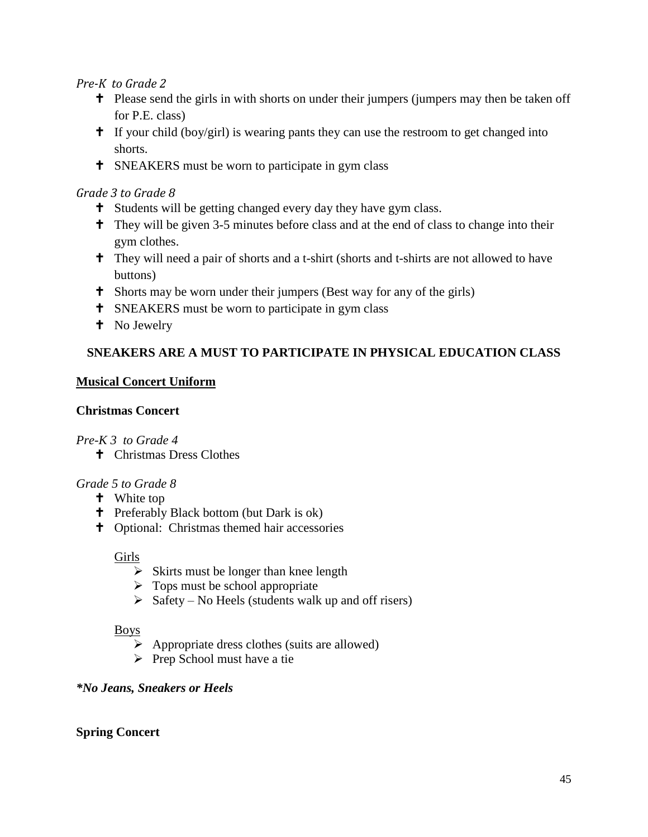#### *Pre-K to Grade 2*

- <sup>t</sup> Please send the girls in with shorts on under their jumpers (jumpers may then be taken off for P.E. class)
- $\uparrow$  If your child (boy/girl) is wearing pants they can use the restroom to get changed into shorts.
- **T** SNEAKERS must be worn to participate in gym class

#### *Grade 3 to Grade 8*

- <sup>†</sup> Students will be getting changed every day they have gym class.
- They will be given 3-5 minutes before class and at the end of class to change into their gym clothes.
- <sup>†</sup> They will need a pair of shorts and a t-shirt (shorts and t-shirts are not allowed to have buttons)
- Shorts may be worn under their jumpers (Best way for any of the girls)
- **T** SNEAKERS must be worn to participate in gym class
- **t** No Jewelry

# **SNEAKERS ARE A MUST TO PARTICIPATE IN PHYSICAL EDUCATION CLASS**

## **Musical Concert Uniform**

## **Christmas Concert**

## *Pre-K 3 to Grade 4*

Christmas Dress Clothes

## *Grade 5 to Grade 8*

- **t** White top
- Preferably Black bottom (but Dark is ok)
- Optional: Christmas themed hair accessories

#### Girls

- $\triangleright$  Skirts must be longer than knee length
- $\triangleright$  Tops must be school appropriate
- $\triangleright$  Safety No Heels (students walk up and off risers)

## Boys

- $\triangleright$  Appropriate dress clothes (suits are allowed)
- $\triangleright$  Prep School must have a tie

## *\*No Jeans, Sneakers or Heels*

## **Spring Concert**